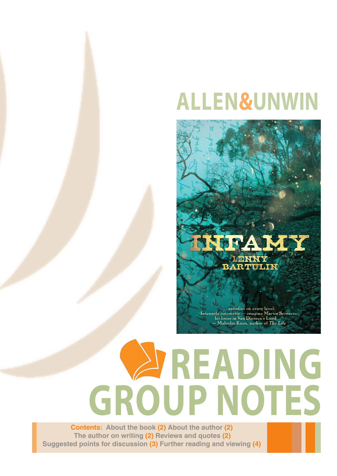# **ALLEN&UNWIN**



# **EADING GROUP NOTES**

**Contents: About the book (2) About the author (2) The author on writing (2) Reviews and quotes (2) Suggested points for discussion (3) Further reading and viewing (4)**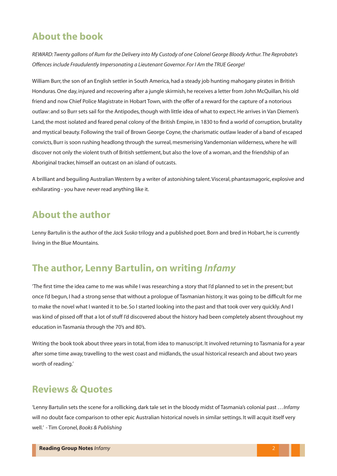#### **About the book**

*REWARD: Twenty gallons of Rum for the Delivery into My Custody of one Colonel George Bloody Arthur. The Reprobate's Offences include Fraudulently Impersonating a Lieutenant Governor. For I Am the TRUE George!*

William Burr, the son of an English settler in South America, had a steady job hunting mahogany pirates in British Honduras. One day, injured and recovering after a jungle skirmish, he receives a letter from John McQuillan, his old friend and now Chief Police Magistrate in Hobart Town, with the offer of a reward for the capture of a notorious outlaw: and so Burr sets sail for the Antipodes, though with little idea of what to expect. He arrives in Van Diemen's Land, the most isolated and feared penal colony of the British Empire, in 1830 to find a world of corruption, brutality and mystical beauty. Following the trail of Brown George Coyne, the charismatic outlaw leader of a band of escaped convicts, Burr is soon rushing headlong through the surreal, mesmerising Vandemonian wilderness, where he will discover not only the violent truth of British settlement, but also the love of a woman, and the friendship of an Aboriginal tracker, himself an outcast on an island of outcasts.

A brilliant and beguiling Australian Western by a writer of astonishing talent. Visceral, phantasmagoric, explosive and exhilarating - you have never read anything like it.

#### **About the author**

Lenny Bartulin is the author of the *Jack Susko* trilogy and a published poet. Born and bred in Hobart, he is currently living in the Blue Mountains.

#### **The author, Lenny Bartulin, on writing** *Infamy*

'The first time the idea came to me was while I was researching a story that I'd planned to set in the present; but once I'd begun, I had a strong sense that without a prologue of Tasmanian history, it was going to be difficult for me to make the novel what I wanted it to be. So I started looking into the past and that took over very quickly. And I was kind of pissed off that a lot of stuff I'd discovered about the history had been completely absent throughout my education in Tasmania through the 70's and 80's.

Writing the book took about three years in total, from idea to manuscript. It involved returning to Tasmania for a year after some time away, travelling to the west coast and midlands, the usual historical research and about two years worth of reading.'

#### **Reviews & Quotes**

'Lenny Bartulin sets the scene for a rollicking, dark tale set in the bloody midst of Tasmania's colonial past . . . *Infamy*  will no doubt face comparison to other epic Australian historical novels in similar settings. It will acquit itself very well.' - Tim Coronel, *Books & Publishing*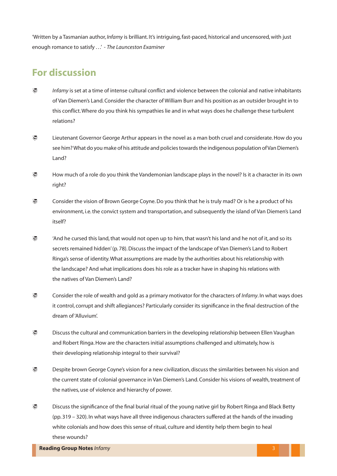'Written by a Tasmanian author, *Infamy* is brilliant. It's intriguing, fast-paced, historical and uncensored, with just enough romance to satisfy . . .' - *The Launceston Examiner*

#### **For discussion**

- *Infamy* is set at a time of intense cultural conflict and violence between the colonial and native inhabitants of Van Diemen's Land. Consider the character of William Burr and his position as an outsider brought in to this conflict. Where do you think his sympathies lie and in what ways does he challenge these turbulent relations?
- Lieutenant Governor George Arthur appears in the novel as a man both cruel and considerate. How do you see him? What do you make of his attitude and policies towards the indigenous population of Van Diemen's Land?
- How much of a role do you think the Vandemonian landscape plays in the novel? Is it a character in its own right?
- Consider the vision of Brown George Coyne. Do you think that he is truly mad? Or is he a product of his environment, i.e. the convict system and transportation, and subsequently the island of Van Diemen's Land itself?
- 'And he cursed this land, that would not open up to him, that wasn't his land and he not of it, and so its secrets remained hidden' (p. 78). Discuss the impact of the landscape of Van Diemen's Land to Robert Ringa's sense of identity. What assumptions are made by the authorities about his relationship with the landscape? And what implications does his role as a tracker have in shaping his relations with the natives of Van Diemen's Land?
- Consider the role of wealth and gold as a primary motivator for the characters of *Infamy*. In what ways does it control, corrupt and shift allegiances? Particularly consider its significance in the final destruction of the dream of 'Alluvium'.
- $\gtrsim$  Discuss the cultural and communication barriers in the developing relationship between Ellen Vaughan and Robert Ringa. How are the characters initial assumptions challenged and ultimately, how is their developing relationship integral to their survival?
- Despite brown George Coyne's vision for a new civilization, discuss the similarities between his vision and the current state of colonial governance in Van Diemen's Land. Consider his visions of wealth, treatment of the natives, use of violence and hierarchy of power.
- Discuss the significance of the final burial ritual of the young native girl by Robert Ringa and Black Betty (pp. 319 – 320). In what ways have all three indigenous characters suffered at the hands of the invading white colonials and how does this sense of ritual, culture and identity help them begin to heal these wounds?